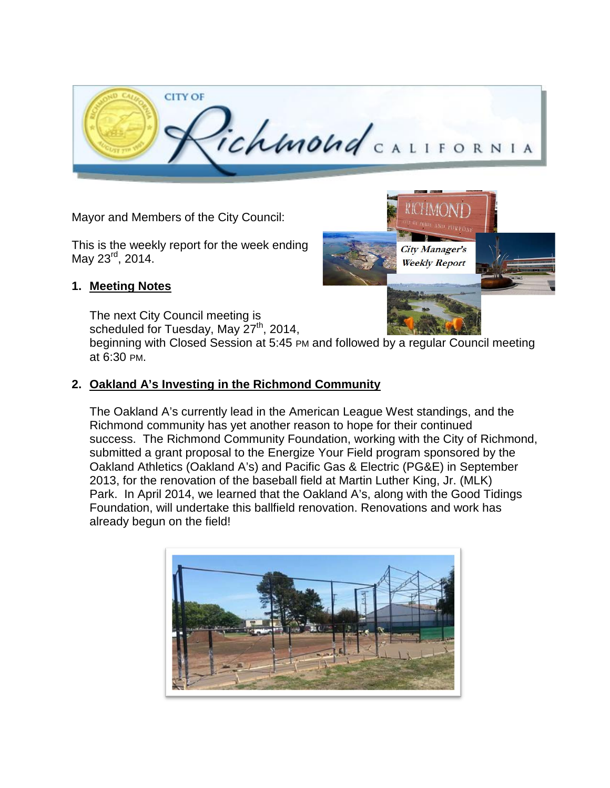

Mayor and Members of the City Council:

This is the weekly report for the week ending May 23<sup>rd</sup>, 2014.

#### **1. Meeting Notes**

The next City Council meeting is scheduled for Tuesday, May 27<sup>th</sup>, 2014,

beginning with Closed Session at 5:45 PM and followed by a regular Council meeting at 6:30 PM.

#### **2. Oakland A's Investing in the Richmond Community**

The Oakland A's currently lead in the American League West standings, and the Richmond community has yet another reason to hope for their continued success. The Richmond Community Foundation, working with the City of Richmond, submitted a grant proposal to the Energize Your Field program sponsored by the Oakland Athletics (Oakland A's) and Pacific Gas & Electric (PG&E) in September 2013, for the renovation of the baseball field at Martin Luther King, Jr. (MLK) Park. In April 2014, we learned that the Oakland A's, along with the Good Tidings Foundation, will undertake this ballfield renovation. Renovations and work has already begun on the field!



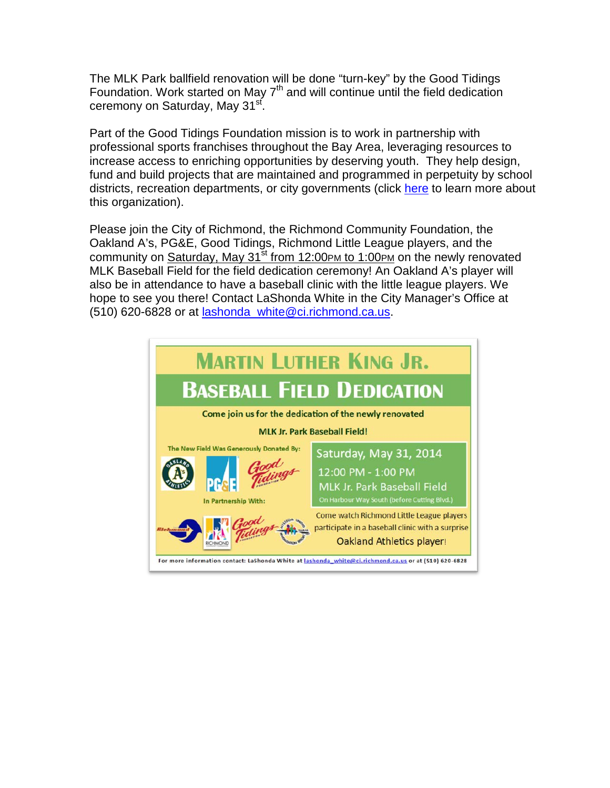The MLK Park ballfield renovation will be done "turn-key" by the Good Tidings Foundation. Work started on May  $7<sup>th</sup>$  and will continue until the field dedication ceremony on Saturday, May 31<sup>st</sup>.

Part of the Good Tidings Foundation mission is to work in partnership with professional sports franchises throughout the Bay Area, leveraging resources to increase access to enriching opportunities by deserving youth. They help design, fund and build projects that are maintained and programmed in perpetuity by school districts, recreation departments, or city governments (click [here](http://www.goodtidings.org/) to learn more about this organization).

Please join the City of Richmond, the Richmond Community Foundation, the Oakland A's, PG&E, Good Tidings, Richmond Little League players, and the community on Saturday, May  $31^{st}$  from 12:00PM to 1:00PM on the newly renovated MLK Baseball Field for the field dedication ceremony! An Oakland A's player will also be in attendance to have a baseball clinic with the little league players. We hope to see you there! Contact LaShonda White in the City Manager's Office at (510) 620-6828 or at [lashonda\\_white@ci.richmond.ca.us.](mailto:lashonda_white@ci.richmond.ca.us)

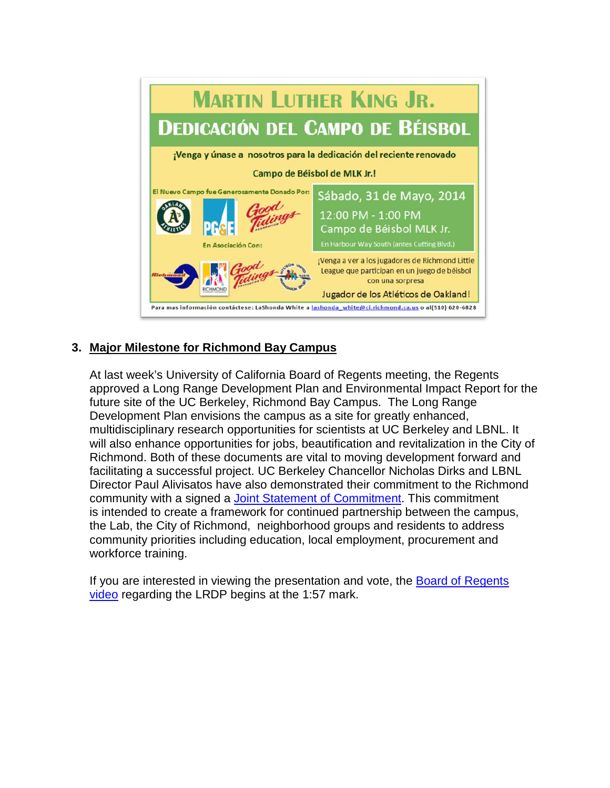

# **3. Major Milestone for Richmond Bay Campus**

At last week's University of California Board of Regents meeting, the Regents approved a Long Range Development Plan and Environmental Impact Report for the future site of the UC Berkeley, Richmond Bay Campus. The Long Range Development Plan envisions the campus as a site for greatly enhanced, multidisciplinary research opportunities for scientists at UC Berkeley and LBNL. It will also enhance opportunities for jobs, beautification and revitalization in the City of Richmond. Both of these documents are vital to moving development forward and facilitating a successful project. UC Berkeley Chancellor Nicholas Dirks and LBNL Director Paul Alivisatos have also demonstrated their commitment to the Richmond community with a signed a Joint Statement of [Commitment.](http://richmondbaycampus.lbl.gov/assets/docs2/raw/Joint%20Statement%20of%20Commitment.RBC._001.pdf) This commitment is intended to create a framework for continued partnership between the campus, the Lab, the City of Richmond, neighborhood groups and residents to address community priorities including education, local employment, procurement and workforce training.

If you are interested in viewing the presentation and vote, the [Board of Regents](http://lecture.ucsf.edu/ETS/Play/fbcec72d7d28400097809d8c26be72dc1d?catalog=333992fe-1405-4d6b-ae39-512a30188f34)  [video](http://lecture.ucsf.edu/ETS/Play/fbcec72d7d28400097809d8c26be72dc1d?catalog=333992fe-1405-4d6b-ae39-512a30188f34) regarding the LRDP begins at the 1:57 mark.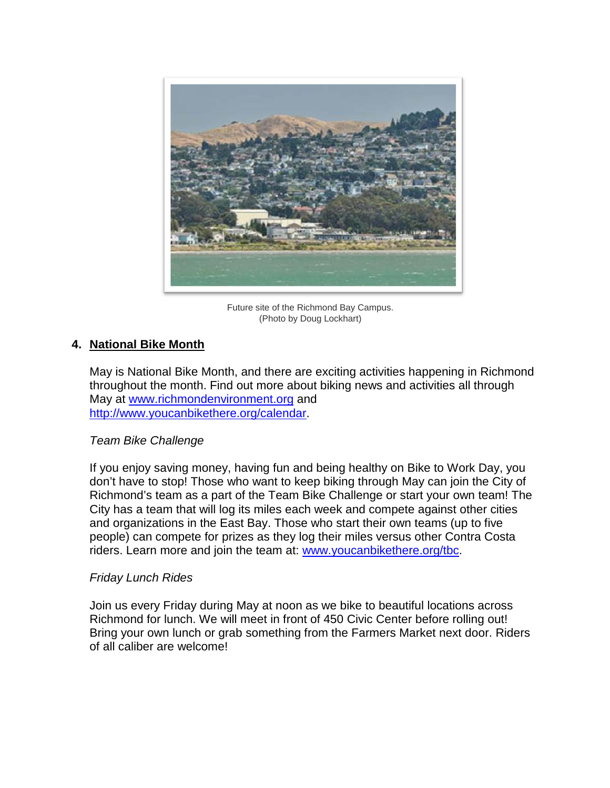

Future site of the Richmond Bay Campus. (Photo by Doug Lockhart)

#### **4. National Bike Month**

May is National Bike Month, and there are exciting activities happening in Richmond throughout the month. Find out more about biking news and activities all through May at [www.richmondenvironment.org](http://www.richmondenvironment.org/) and [http://www.youcanbikethere.org/calendar.](http://www.youcanbikethere.org/calendar)

#### *Team Bike Challenge*

If you enjoy saving money, having fun and being healthy on Bike to Work Day, you don't have to stop! Those who want to keep biking through May can join the City of Richmond's team as a part of the Team Bike Challenge or start your own team! The City has a team that will log its miles each week and compete against other cities and organizations in the East Bay. Those who start their own teams (up to five people) can compete for prizes as they log their miles versus other Contra Costa riders. Learn more and join the team at: www.youcanbikethere.org/tbc.

#### *Friday Lunch Rides*

Join us every Friday during May at noon as we bike to beautiful locations across Richmond for lunch. We will meet in front of 450 Civic Center before rolling out! Bring your own lunch or grab something from the Farmers Market next door. Riders of all caliber are welcome!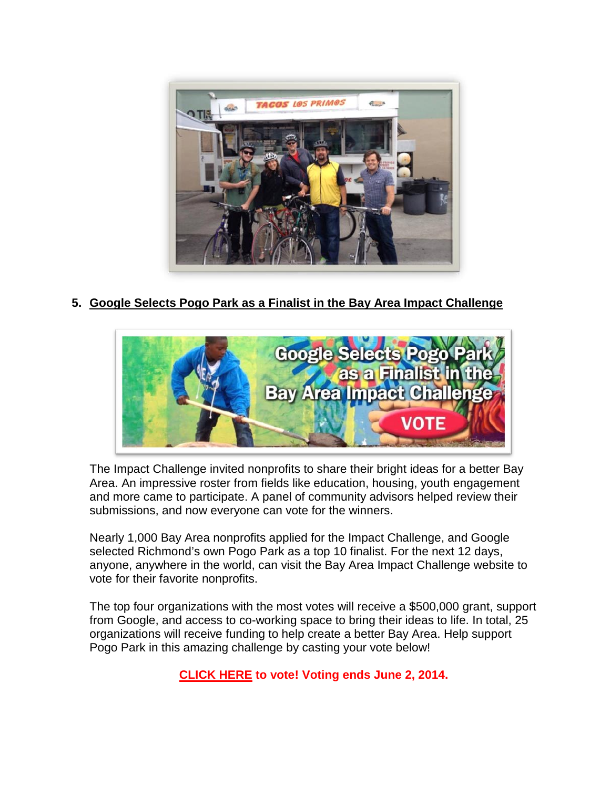

**5. Google Selects Pogo Park as a Finalist in the Bay Area Impact Challenge**



The Impact Challenge invited nonprofits to share their bright ideas for a better Bay Area. An impressive roster from fields like education, housing, youth engagement and more came to participate. A panel of community advisors helped review their submissions, and now everyone can vote for the winners.

Nearly 1,000 Bay Area nonprofits applied for the Impact Challenge, and Google selected Richmond's own Pogo Park as a top 10 finalist. For the next 12 days, anyone, anywhere in the world, can visit the Bay Area Impact Challenge website to vote for their favorite nonprofits.

The top four organizations with the most votes will receive a \$500,000 grant, support from Google, and access to co-working space to bring their ideas to life. In total, 25 organizations will receive funding to help create a better Bay Area. Help support Pogo Park in this amazing challenge by casting your vote below!

**[CLICK HERE](https://impactchallenge.withgoogle.com/bayarea2014/charity/pogo-park) to vote! Voting ends June 2, 2014.**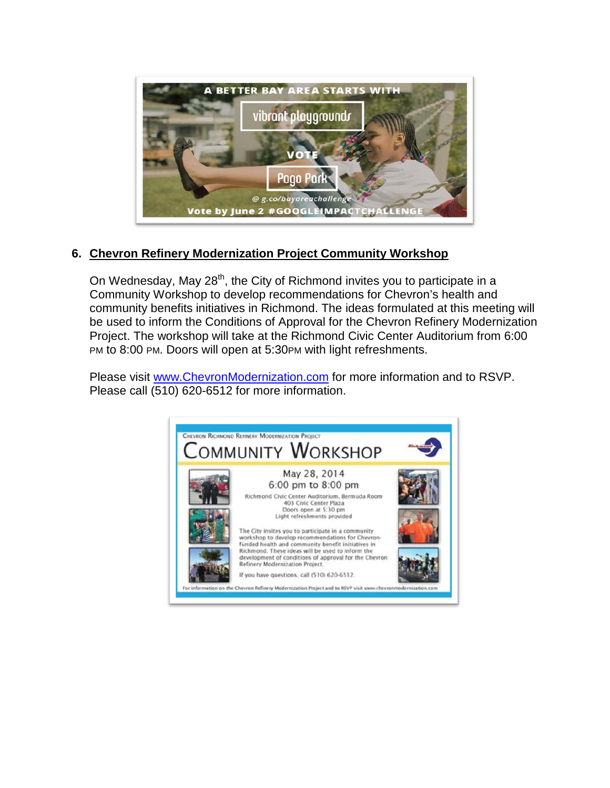

# **6. Chevron Refinery Modernization Project Community Workshop**

On Wednesday, May  $28<sup>th</sup>$ , the City of Richmond invites you to participate in a Community Workshop to develop recommendations for Chevron's health and community benefits initiatives in Richmond. The ideas formulated at this meeting will be used to inform the Conditions of Approval for the Chevron Refinery Modernization Project. The workshop will take at the Richmond Civic Center Auditorium from 6:00 PM to 8:00 PM. Doors will open at 5:30PM with light refreshments.

Please visit www[.ChevronModernization.com](http://chevronmodernization.com/) for more information and to RSVP. Please call (510) 620-6512 for more information.

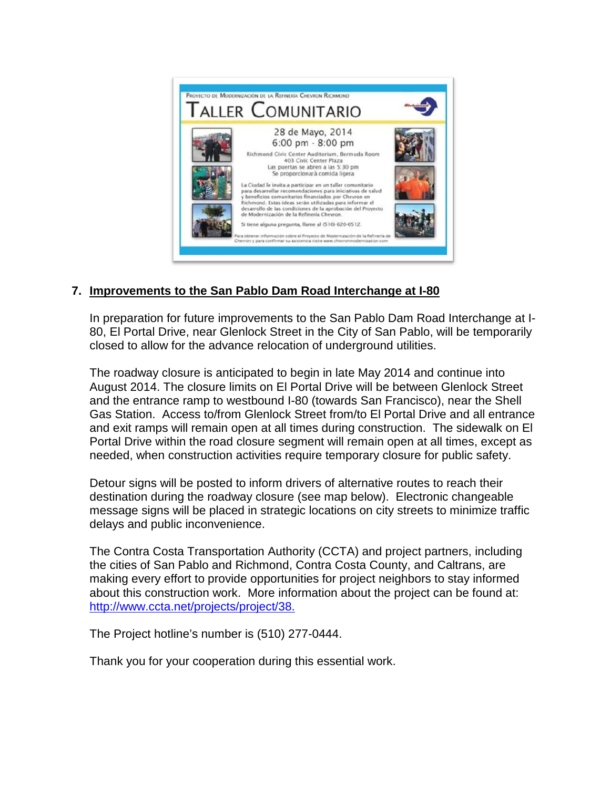

# **7. Improvements to the San Pablo Dam Road Interchange at I-80**

In preparation for future improvements to the San Pablo Dam Road Interchange at I-80, El Portal Drive, near Glenlock Street in the City of San Pablo, will be temporarily closed to allow for the advance relocation of underground utilities.

The roadway closure is anticipated to begin in late May 2014 and continue into August 2014. The closure limits on El Portal Drive will be between Glenlock Street and the entrance ramp to westbound I-80 (towards San Francisco), near the Shell Gas Station. Access to/from Glenlock Street from/to El Portal Drive and all entrance and exit ramps will remain open at all times during construction. The sidewalk on El Portal Drive within the road closure segment will remain open at all times, except as needed, when construction activities require temporary closure for public safety.

Detour signs will be posted to inform drivers of alternative routes to reach their destination during the roadway closure (see map below). Electronic changeable message signs will be placed in strategic locations on city streets to minimize traffic delays and public inconvenience.

The Contra Costa Transportation Authority (CCTA) and project partners, including the cities of San Pablo and Richmond, Contra Costa County, and Caltrans, are making every effort to provide opportunities for project neighbors to stay informed about this construction work. More information about the project can be found at: [http://www.ccta.net/projects/project/38.](http://www.ccta.net/projects/project/38)

The Project hotline's number is (510) 277-0444.

Thank you for your cooperation during this essential work.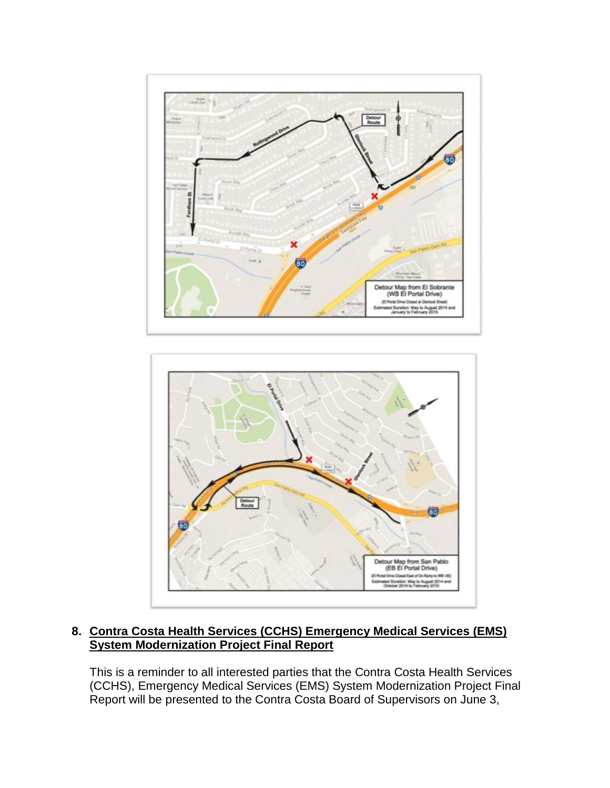



# **8. Contra Costa Health Services (CCHS) Emergency Medical Services (EMS) System Modernization Project Final Report**

This is a reminder to all interested parties that the Contra Costa Health Services (CCHS), Emergency Medical Services (EMS) System Modernization Project Final Report will be presented to the Contra Costa Board of Supervisors on June 3,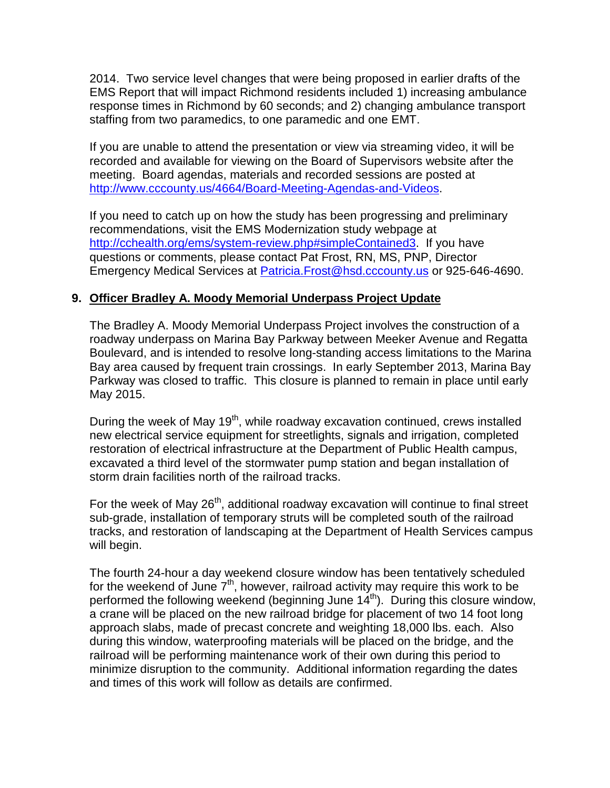2014. Two service level changes that were being proposed in earlier drafts of the EMS Report that will impact Richmond residents included 1) increasing ambulance response times in Richmond by 60 seconds; and 2) changing ambulance transport staffing from two paramedics, to one paramedic and one EMT.

If you are unable to attend the presentation or view via streaming video, it will be recorded and available for viewing on the Board of Supervisors website after the meeting. Board agendas, materials and recorded sessions are posted at [http://www.cccounty.us/4664/Board-Meeting-Agendas-and-Videos.](http://www.cccounty.us/4664/Board-Meeting-Agendas-and-Videos)

If you need to catch up on how the study has been progressing and preliminary recommendations, visit the EMS Modernization study webpage at [http://cchealth.org/ems/system-review.php#simpleContained3.](http://cchealth.org/ems/system-review.php#simpleContained3) If you have questions or comments, please contact Pat Frost, RN, MS, PNP, Director Emergency Medical Services at [Patricia.Frost@hsd.cccounty.us](mailto:Patricia.Frost@hsd.cccounty.us) or 925-646-4690.

### **9. Officer Bradley A. Moody Memorial Underpass Project Update**

The Bradley A. Moody Memorial Underpass Project involves the construction of a roadway underpass on Marina Bay Parkway between Meeker Avenue and Regatta Boulevard, and is intended to resolve long-standing access limitations to the Marina Bay area caused by frequent train crossings. In early September 2013, Marina Bay Parkway was closed to traffic. This closure is planned to remain in place until early May 2015.

During the week of May 19<sup>th</sup>, while roadway excavation continued, crews installed new electrical service equipment for streetlights, signals and irrigation, completed restoration of electrical infrastructure at the Department of Public Health campus, excavated a third level of the stormwater pump station and began installation of storm drain facilities north of the railroad tracks.

For the week of May  $26<sup>th</sup>$ , additional roadway excavation will continue to final street sub-grade, installation of temporary struts will be completed south of the railroad tracks, and restoration of landscaping at the Department of Health Services campus will begin.

The fourth 24-hour a day weekend closure window has been tentatively scheduled for the weekend of June  $7<sup>th</sup>$ , however, railroad activity may require this work to be performed the following weekend (beginning June  $14<sup>th</sup>$ ). During this closure window, a crane will be placed on the new railroad bridge for placement of two 14 foot long approach slabs, made of precast concrete and weighting 18,000 lbs. each. Also during this window, waterproofing materials will be placed on the bridge, and the railroad will be performing maintenance work of their own during this period to minimize disruption to the community. Additional information regarding the dates and times of this work will follow as details are confirmed.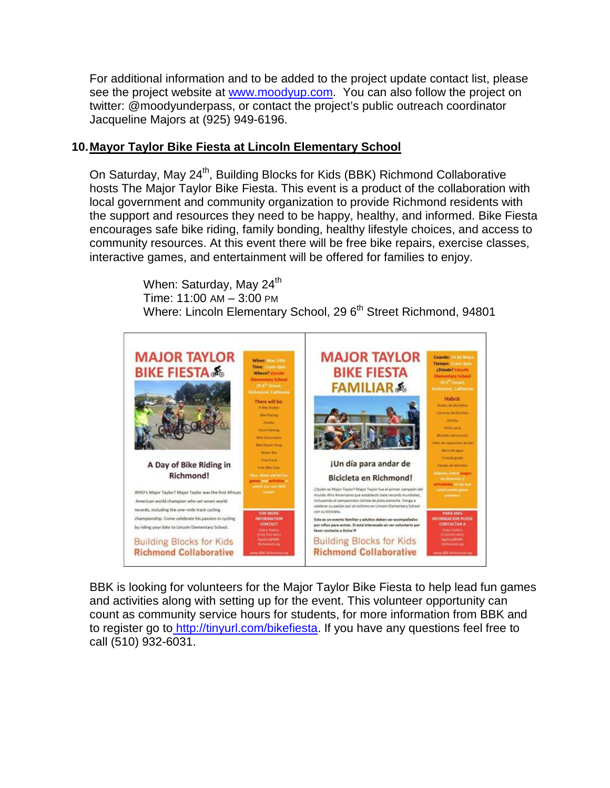For additional information and to be added to the project update contact list, please see the project website at [www.moodyup.com.](http://www.moodyup.com/) You can also follow the project on twitter: @moodyunderpass, or contact the project's public outreach coordinator Jacqueline Majors at (925) 949-6196.

#### **10.Mayor Taylor Bike Fiesta at Lincoln Elementary School**

On Saturday, May 24<sup>th</sup>, Building Blocks for Kids (BBK) Richmond Collaborative hosts The Major Taylor Bike Fiesta. This event is a product of the collaboration with local government and community organization to provide Richmond residents with the support and resources they need to be happy, healthy, and informed. Bike Fiesta encourages safe bike riding, family bonding, healthy lifestyle choices, and access to community resources. At this event there will be free bike repairs, exercise classes, interactive games, and entertainment will be offered for families to enjoy.

> When: Saturday, May 24<sup>th</sup> Time: 11:00 AM – 3:00 PM Where: Lincoln Elementary School, 29 6<sup>th</sup> Street Richmond, 94801



BBK is looking for volunteers for the Major Taylor Bike Fiesta to help lead fun games and activities along with setting up for the event. This volunteer opportunity can count as community service hours for students, for more information from BBK and to register go to [http://tinyurl.com/bikefiesta.](http://tinyurl.com/bikefiesta) If you have any questions feel free to call (510) 932-6031.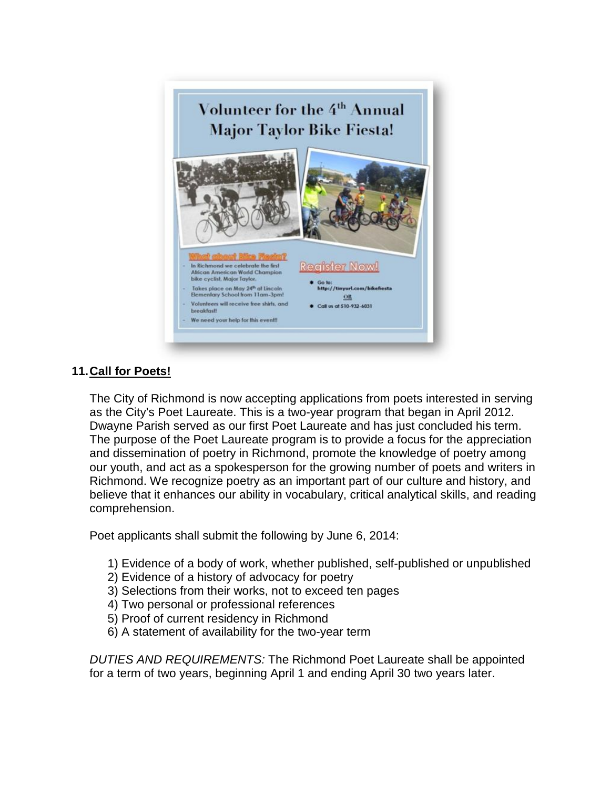

# **11.Call for Poets!**

The City of Richmond is now accepting applications from poets interested in serving as the City's Poet Laureate. This is a two-year program that began in April 2012. Dwayne Parish served as our first Poet Laureate and has just concluded his term. The purpose of the Poet Laureate program is to provide a focus for the appreciation and dissemination of poetry in Richmond, promote the knowledge of poetry among our youth, and act as a spokesperson for the growing number of poets and writers in Richmond. We recognize poetry as an important part of our culture and history, and believe that it enhances our ability in vocabulary, critical analytical skills, and reading comprehension.

Poet applicants shall submit the following by June 6, 2014:

- 1) Evidence of a body of work, whether published, self-published or unpublished
- 2) Evidence of a history of advocacy for poetry
- 3) Selections from their works, not to exceed ten pages
- 4) Two personal or professional references
- 5) Proof of current residency in Richmond
- 6) A statement of availability for the two-year term

*DUTIES AND REQUIREMENTS:* The Richmond Poet Laureate shall be appointed for a term of two years, beginning April 1 and ending April 30 two years later.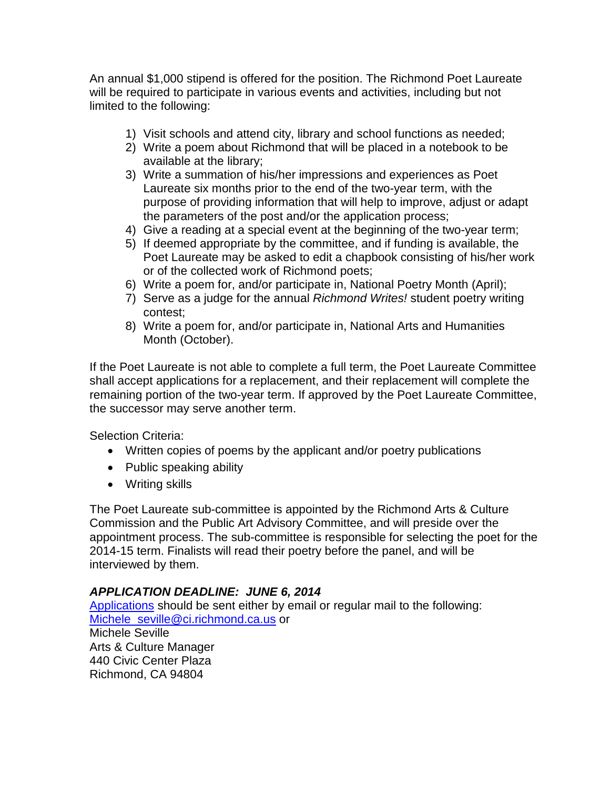An annual \$1,000 stipend is offered for the position. The Richmond Poet Laureate will be required to participate in various events and activities, including but not limited to the following:

- 1) Visit schools and attend city, library and school functions as needed;
- 2) Write a poem about Richmond that will be placed in a notebook to be available at the library;
- 3) Write a summation of his/her impressions and experiences as Poet Laureate six months prior to the end of the two-year term, with the purpose of providing information that will help to improve, adjust or adapt the parameters of the post and/or the application process;
- 4) Give a reading at a special event at the beginning of the two-year term;
- 5) If deemed appropriate by the committee, and if funding is available, the Poet Laureate may be asked to edit a chapbook consisting of his/her work or of the collected work of Richmond poets;
- 6) Write a poem for, and/or participate in, National Poetry Month (April);
- 7) Serve as a judge for the annual *Richmond Writes!* student poetry writing contest;
- 8) Write a poem for, and/or participate in, National Arts and Humanities Month (October).

If the Poet Laureate is not able to complete a full term, the Poet Laureate Committee shall accept applications for a replacement, and their replacement will complete the remaining portion of the two-year term. If approved by the Poet Laureate Committee, the successor may serve another term.

Selection Criteria:

- Written copies of poems by the applicant and/or poetry publications
- Public speaking ability
- Writing skills

The Poet Laureate sub-committee is appointed by the Richmond Arts & Culture Commission and the Public Art Advisory Committee, and will preside over the appointment process. The sub-committee is responsible for selecting the poet for the 2014-15 term. Finalists will read their poetry before the panel, and will be interviewed by them.

### *APPLICATION DEADLINE: JUNE 6, 2014*

Applications should be sent either by email or regular mail to the following: [Michele\\_seville@ci.richmond.ca.us](mailto:Michele_seville@ci.richmond.ca.us) or Michele Seville Arts & Culture Manager 440 Civic Center Plaza Richmond, CA 94804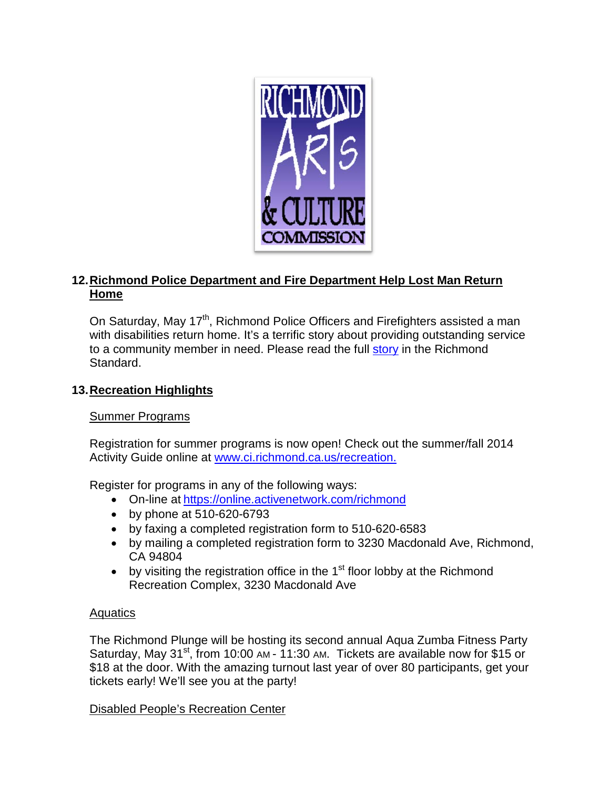

# **12.Richmond Police Department and Fire Department Help Lost Man Return Home**

On Saturday, May 17<sup>th</sup>, Richmond Police Officers and Firefighters assisted a man with disabilities return home. It's a terrific story about providing outstanding service to a community member in need. Please read the full [story](http://richmondstandard.com/2014/05/lost-disabled-richmond-man-finds-home-heartwarming-effort-local-police-fire/) in the Richmond Standard.

# **13.Recreation Highlights**

### Summer Programs

Registration for summer programs is now open! Check out the summer/fall 2014 Activity Guide online at [www.ci.richmond.ca.us/recreation.](http://www.ci.richmond.ca.us/recreation)

Register for programs in any of the following ways:

- On-line at <https://online.activenetwork.com/richmond>
- by phone at 510-620-6793
- by faxing a completed registration form to 510-620-6583
- by mailing a completed registration form to 3230 Macdonald Ave, Richmond, CA 94804
- by visiting the registration office in the  $1<sup>st</sup>$  floor lobby at the Richmond Recreation Complex, 3230 Macdonald Ave

### **Aquatics**

The Richmond Plunge will be hosting its second annual Aqua Zumba Fitness Party Saturday, May 31<sup>st</sup>, from 10:00 AM - 11:30 AM. Tickets are available now for \$15 or \$18 at the door. With the amazing turnout last year of over 80 participants, get your tickets early! We'll see you at the party!

Disabled People's Recreation Center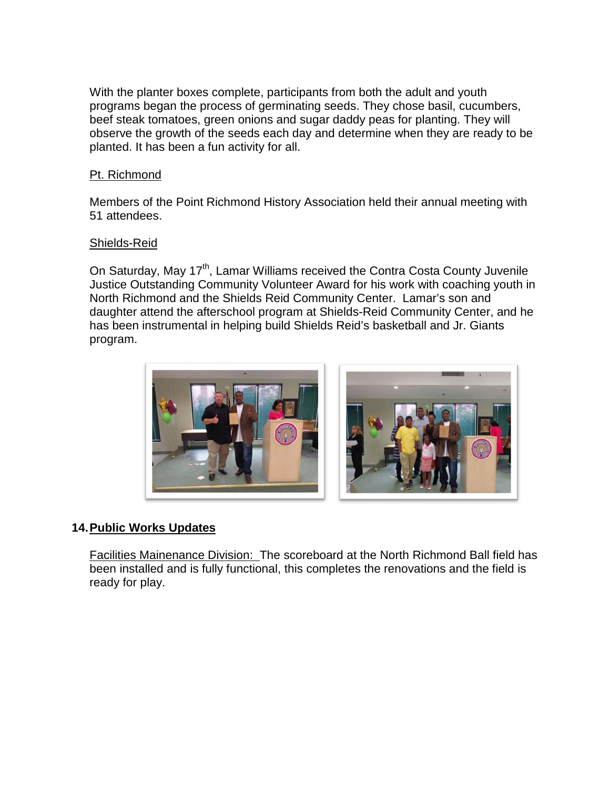With the planter boxes complete, participants from both the adult and youth programs began the process of germinating seeds. They chose basil, cucumbers, beef steak tomatoes, green onions and sugar daddy peas for planting. They will observe the growth of the seeds each day and determine when they are ready to be planted. It has been a fun activity for all.

#### Pt. Richmond

Members of the Point Richmond History Association held their annual meeting with 51 attendees.

#### Shields-Reid

On Saturday, May 17<sup>th</sup>, Lamar Williams received the Contra Costa County Juvenile Justice Outstanding Community Volunteer Award for his work with coaching youth in North Richmond and the Shields Reid Community Center. Lamar's son and daughter attend the afterschool program at Shields-Reid Community Center, and he has been instrumental in helping build Shields Reid's basketball and Jr. Giants program.





### **14.Public Works Updates**

Facilities Mainenance Division: The scoreboard at the North Richmond Ball field has been installed and is fully functional, this completes the renovations and the field is ready for play.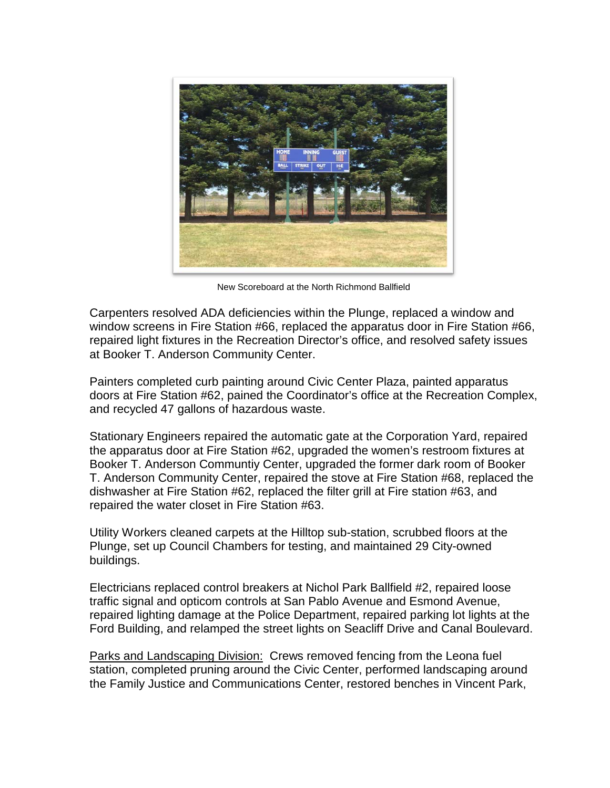

New Scoreboard at the North Richmond Ballfield

Carpenters resolved ADA deficiencies within the Plunge, replaced a window and window screens in Fire Station #66, replaced the apparatus door in Fire Station #66, repaired light fixtures in the Recreation Director's office, and resolved safety issues at Booker T. Anderson Community Center.

Painters completed curb painting around Civic Center Plaza, painted apparatus doors at Fire Station #62, pained the Coordinator's office at the Recreation Complex, and recycled 47 gallons of hazardous waste.

Stationary Engineers repaired the automatic gate at the Corporation Yard, repaired the apparatus door at Fire Station #62, upgraded the women's restroom fixtures at Booker T. Anderson Communtiy Center, upgraded the former dark room of Booker T. Anderson Community Center, repaired the stove at Fire Station #68, replaced the dishwasher at Fire Station #62, replaced the filter grill at Fire station #63, and repaired the water closet in Fire Station #63.

Utility Workers cleaned carpets at the Hilltop sub-station, scrubbed floors at the Plunge, set up Council Chambers for testing, and maintained 29 City-owned buildings.

Electricians replaced control breakers at Nichol Park Ballfield #2, repaired loose traffic signal and opticom controls at San Pablo Avenue and Esmond Avenue, repaired lighting damage at the Police Department, repaired parking lot lights at the Ford Building, and relamped the street lights on Seacliff Drive and Canal Boulevard.

Parks and Landscaping Division: Crews removed fencing from the Leona fuel station, completed pruning around the Civic Center, performed landscaping around the Family Justice and Communications Center, restored benches in Vincent Park,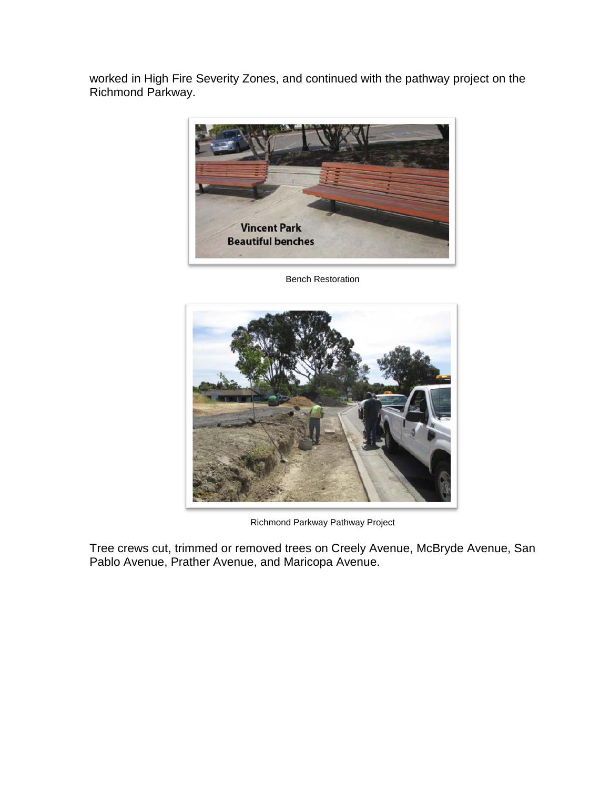worked in High Fire Severity Zones, and continued with the pathway project on the Richmond Parkway.



Bench Restoration



Richmond Parkway Pathway Project

Tree crews cut, trimmed or removed trees on Creely Avenue, McBryde Avenue, San Pablo Avenue, Prather Avenue, and Maricopa Avenue.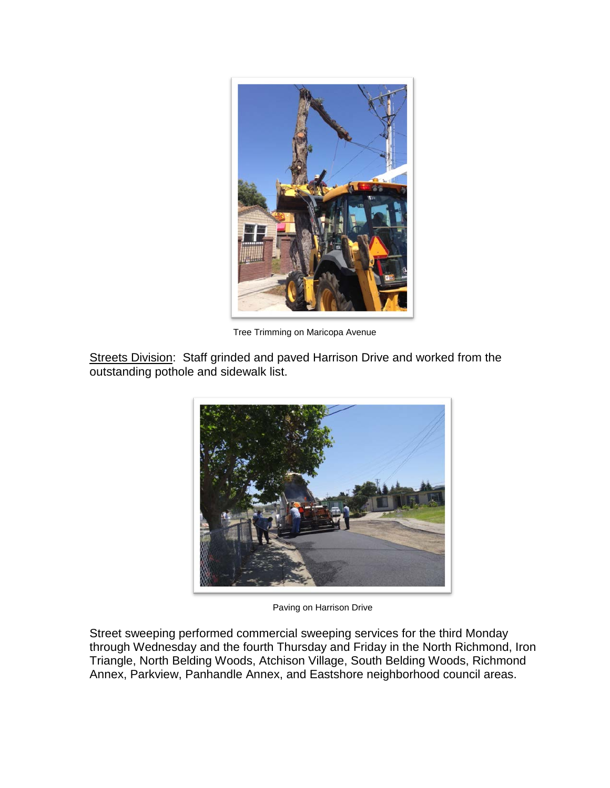

Tree Trimming on Maricopa Avenue

Streets Division: Staff grinded and paved Harrison Drive and worked from the outstanding pothole and sidewalk list.



Paving on Harrison Drive

Street sweeping performed commercial sweeping services for the third Monday through Wednesday and the fourth Thursday and Friday in the North Richmond, Iron Triangle, North Belding Woods, Atchison Village, South Belding Woods, Richmond Annex, Parkview, Panhandle Annex, and Eastshore neighborhood council areas.